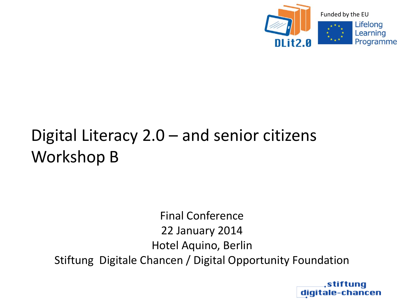

# Digital Literacy 2.0 – and senior citizens Workshop B

Final Conference 22 January 2014 Hotel Aquino, Berlin Stiftung Digitale Chancen / Digital Opportunity Foundation

> stiftuna digitale-chancen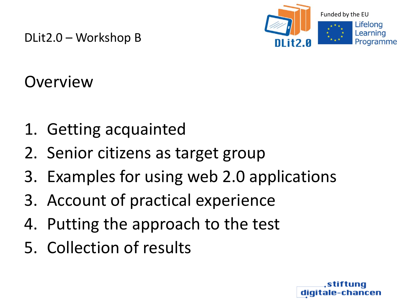

**Overview** 

- 1. Getting acquainted
- 2. Senior citizens as target group
- 3. Examples for using web 2.0 applications
- 3. Account of practical experience
- 4. Putting the approach to the test
- 5. Collection of results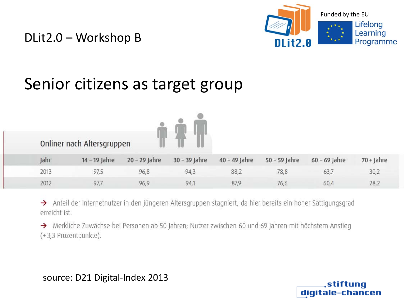

stiftung digitale-chancen

### Senior citizens as target group

|      | Onliner nach Altersgruppen |                 |                 |                 |                 |                 |              |
|------|----------------------------|-----------------|-----------------|-----------------|-----------------|-----------------|--------------|
| Jahr | 14 - 19 Jahre              | $20 - 29$ Jahre | $30 - 39$ Jahre | $40 - 49$ Jahre | $50 - 59$ Jahre | $60 - 69$ Jahre | $70 +$ Jahre |
| 2013 | 97,5                       | 96,8            | 94,3            | 88,2            | 78,8            | 63,7            | 30,2         |
| 2012 | 97,7                       | 96,9            | 94,1            | 87,9            | 76,6            | 60,4            | 28,2         |

> Anteil der Internetnutzer in den jüngeren Altersgruppen stagniert, da hier bereits ein hoher Sättigungsgrad erreicht ist.

A Merkliche Zuwächse bei Personen ab 50 Jahren; Nutzer zwischen 60 und 69 Jahren mit höchstem Anstieg (+3,3 Prozentpunkte).

source: D21 Digital-Index 2013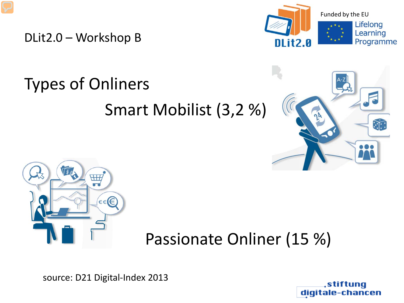

# Types of Onliners Smart Mobilist (3,2 %)





## Passionate Onliner (15 %)

source: D21 Digital-Index 2013

stiftuna digitale-chancen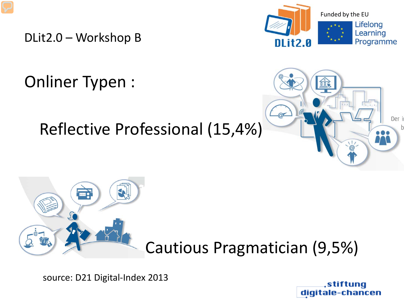Onliner Typen :

## Reflective Professional (15,4%)







Cautious Pragmatician (9,5%)

source: D21 Digital-Index 2013

stiftung digi -chancen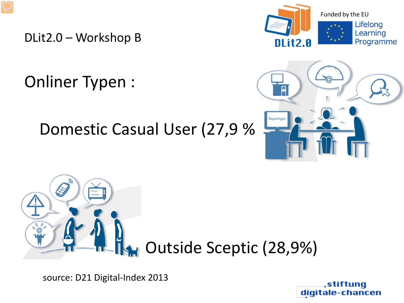Onliner Typen :

### Domestic Casual User (27,9 %)







source: D21 Digital-Index 2013

stiftuna digit -chancen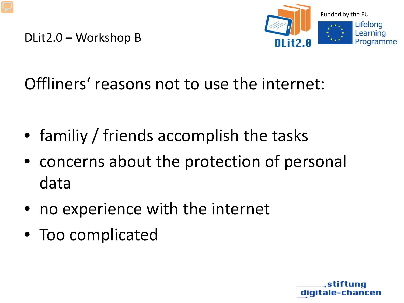

## Offliners' reasons not to use the internet:

- familiy / friends accomplish the tasks
- concerns about the protection of personal data
- no experience with the internet
- Too complicated

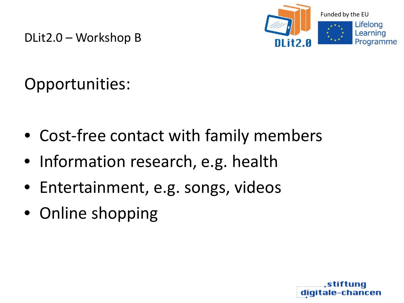

Opportunities:

- Cost-free contact with family members
- Information research, e.g. health
- Entertainment, e.g. songs, videos
- Online shopping

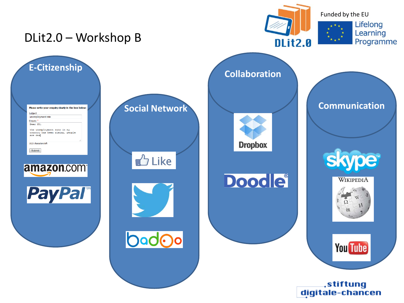

digitale-chancen